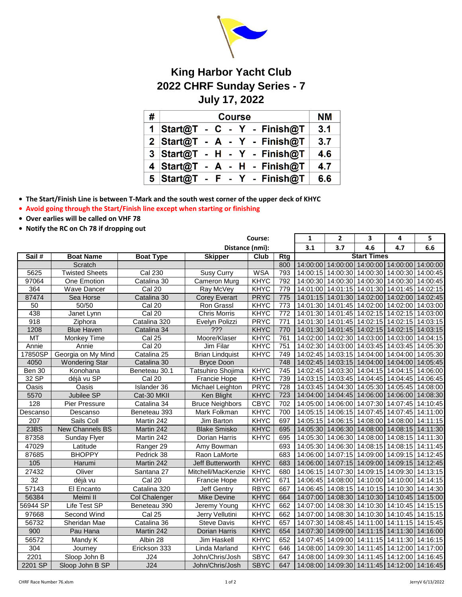

## **King Harbor Yacht Club 2022 CHRF Sunday Series - 7 July 17, 2022**

| # | <b>Course</b>                  | <b>NM</b> |
|---|--------------------------------|-----------|
|   | 1 Start@T - C - Y - Finish@T   | 3.1       |
|   | $2$ Start@T - A - Y - Finish@T | 3.7       |
|   | 3 Start@T - H - Y - Finish@T   | 4.6       |
|   | 4 Start@T - A - H - Finish@T   | 4.7       |
|   | 5 Start@T - F - Y - Finish@T   | 6.6       |

**• The Start/Finish Line is between T-Mark and the south west corner of the upper deck of KHYC**

**• Avoid going through the Start/Finish line except when starting or finishing**

- **Over earlies will be called on VHF 78**
- **Notify the RC on Ch 78 if dropping out**

|                  |                       |                      | Course:                |             |                  | $\mathbf{1}$       | $\mathbf{2}$ | 3                                         | 4                          | 5        |
|------------------|-----------------------|----------------------|------------------------|-------------|------------------|--------------------|--------------|-------------------------------------------|----------------------------|----------|
|                  |                       |                      | Distance (nmi):        |             |                  | 3.1                | 3.7          | 4.6                                       | 4.7                        | 6.6      |
| Sail#            | <b>Boat Name</b>      | <b>Boat Type</b>     | <b>Skipper</b>         | <b>Club</b> | Rtg              | <b>Start Times</b> |              |                                           |                            |          |
|                  | Scratch               |                      |                        |             | 800              | 14:00:00           |              | 14:00:00 14:00:00 14:00:00 14:00:00       |                            |          |
| 5625             | <b>Twisted Sheets</b> | <b>Cal 230</b>       | Susy Curry             | <b>WSA</b>  | 793              | 14:00:15           | 14:00:30     | 14:00:30                                  | 14:00:30 14:00:45          |          |
| 97064            | One Emotion           | Catalina 30          | Cameron Murg           | <b>KHYC</b> | 792              | 14:00:30           | 14:00:30     | 14:00:30                                  | 14:00:30 14:00:45          |          |
| 364              | <b>Wave Dancer</b>    | Cal 20               | Ray McVey              | KHYC        | 779              | 14:01:00           |              | 14:01:15 14:01:30                         | 14:01:45 14:02:15          |          |
| 87474            | Sea Horse             | Catalina 30          | <b>Corey Everart</b>   | <b>PRYC</b> | 775              | 14:01:15           | 14:01:30     |                                           | 14:02:00 14:02:00 14:02:45 |          |
| 50               | 50/50                 | Cal20                | Ron Grassl             | KHYC        | 773              | 14:01:30           |              | 14:01:45 14:02:00 14:02:00 14:03:00       |                            |          |
| 438              | Janet Lynn            | Cal 20               | <b>Chris Morris</b>    | KHYC        | $\overline{772}$ | 14:01:30           |              | 14:01:45 14:02:15                         | 14:02:15 14:03:00          |          |
| 918              | Ziphora               | Catalina 320         | Evelyn Polizzi         | <b>PRYC</b> | 771              | 14:01:30           |              | 14:01:45 14:02:15                         | 14:02:15 14:03:15          |          |
| 1208             | <b>Blue Haven</b>     | Catalina 34          | ???                    | KHYC        | 770              | 14:01:30           |              | 14:01:45 14:02:15 14:02:15 14:03:15       |                            |          |
| MT               | Monkey Time           | Cal 25               | Moore/Klaser           | KHYC        | 761              | 14:02:00           |              | 14:02:30 14:03:00 14:03:00 14:04:15       |                            |          |
| Annie            | Annie                 | Cal20                | Jim Filar              | KHYC        | 751              | 14:02:30           | 14:03:00     | 14:03:45                                  | 14:03:45 14:05:30          |          |
| 17850SP          | Georgia on My Mind    | Catalina 25          | <b>Brian Lindquist</b> | KHYC        | 749              | 14:02:45           |              | 14:03:15 14:04:00 14:04:00 14:05:30       |                            |          |
| 4050             | <b>Wondering Star</b> | Catalina 30          | <b>Bryce Doon</b>      |             | 748              | 14:02:45           | 14:03:15     | 14:04:00                                  | 14:04:00 14:05:45          |          |
| Ben 30           | Konohana              | Beneteau 30.1        | Tatsuhiro Shojima      | KHYC        | 745              | 14:02:45           |              | 14:03:30 14:04:15                         | 14:04:15 14:06:00          |          |
| 32 SP            | déjà vu SP            | Cal <sub>20</sub>    | Francie Hope           | KHYC        | 739              | 14:03:15           |              | 14:03:45 14:04:45 14:04:45 14:06:45       |                            |          |
| Oasis            | Oasis                 | Islander 36          | Michael Leighton       | <b>PRYC</b> | 728              | 14:03:45           |              | 14:04:30 14:05:30 14:05:45 14:08:00       |                            |          |
| 5570             | Jubilee SP            | Cat-30 MKII          | Ken Blight             | <b>KHYC</b> | 723              | 14:04:00           | 14:04:45     |                                           | 14:06:00 14:06:00 14:08:30 |          |
| 128              | Pier Pressure         | Catalina 34          | <b>Bruce Neighbors</b> | <b>CBYC</b> | 702              | 14:05:00           |              | 14:06:00 14:07:30 14:07:45 14:10:45       |                            |          |
| Descanso         | Descanso              | Beneteau 393         | Mark Folkman           | KHYC        | 700              | 14:05:15           |              | 14:06:15 14:07:45                         | 14:07:45 14:11:00          |          |
| 207              | Sails Coll            | Martin 242           | Jim Barton             | KHYC        | 697              | 14:05:15           |              | 14:06:15 14:08:00 14:08:00 14:11:15       |                            |          |
| 23BS             | New Channels BS       | Martin 242           | <b>Blake Smisko</b>    | <b>KHYC</b> | 695              | 14:05:30           |              | 14:06:30 14:08:00 14:08:15 14:11:30       |                            |          |
| 87358            | <b>Sunday Flyer</b>   | Martin 242           | Dorian Harris          | <b>KHYC</b> | 695              | 14:05:30           |              | 14:06:30 14:08:00                         | 14:08:15 14:11:30          |          |
| 47029            | Latitude              | Ranger 29            | Amy Bowman             |             | 693              | 14:05:30           |              | 14:06:30 14:08:15                         | 14:08:15 14:11:45          |          |
| 87685            | <b>BHOPPY</b>         | Pedrick 38           | Raon LaMorte           |             | 683              | 14:06:00           |              | 14:07:15   14:09:00   14:09:15   14:12:45 |                            |          |
| 105              | Harumi                | Martin 242           | Jeff Butterworth       | KHYC        | 683              | 14:06:00           |              | 14:07:15 14:09:00 14:09:15 14:12:45       |                            |          |
| 27432            | Oliver                | Santana 27           | Mitchell/MacKenzie     | <b>KHYC</b> | 680              | 14:06:15           |              | 14:07:30 14:09:15                         | 14:09:30 14:13:15          |          |
| 32               | déjà vu               | Cal 20               | Francie Hope           | KHYC        | 671              | 14:06:45           |              | 14:08:00 14:10:00 14:10:00 14:14:15       |                            |          |
| 57143            | El Encanto            | Catalina 320         | <b>Jeff Gentry</b>     | <b>RBYC</b> | 667              | 14:06:45           |              | 14:08:15 14:10:15 14:10:30 14:14:30       |                            |          |
| 56384            | Meimi II              | <b>Col Chalenger</b> | <b>Mike Devine</b>     | <b>KHYC</b> | 664              | 14:07:00           |              | 14:08:30 14:10:30 14:10:45 14:15:00       |                            |          |
| 56944 SP         | Life Test SP          | Beneteau 390         | Jeremy Young           | <b>KHYC</b> | 662              | 14:07:00           | 14:08:30     |                                           | 14:10:30 14:10:45 14:15:15 |          |
| 97668            | Second Wind           | Cal 25               | Jerry Vellutini        | KHYC        | 662              | 14:07:00           | 14:08:30     | 14:10:30                                  | 14:10:45 14:15:15          |          |
| 56732            | Sheridan Mae          | Catalina 36          | Steve Davis            | KHYC        | 657              | 14:07:30           |              | 14:08:45 14:11:00                         | 14:11:15 14:15:45          |          |
| 900              | Pau Hana              | Martin 242           | Dorian Harris          | <b>KHYC</b> | 654              | 14:07:30           | 14:09:00     | 14:11:15                                  | 14:11:30 14:16:00          |          |
| 56572            | Mandy K               | Albin 28             | Jim Haskell            | <b>KHYC</b> | 652              | 14:07:45           | 14:09:00     | 14:11:15                                  | 14:11:30 14:16:15          |          |
| $\overline{304}$ | Journey               | Erickson 333         | Linda Marland          | <b>KHYC</b> | 646              | 14:08:00           | 14:09:30     | 14:11:45                                  | 14:12:00                   | 14:17:00 |
| 2201             | Sloop John B          | J24                  | John/Chris/Josh        | <b>SBYC</b> | 647              | 14:08:00           |              | 14:09:30 14:11:45                         | 14:12:00 14:16:45          |          |
| 2201 SP          | Sloop John B SP       | J24                  | John/Chris/Josh        | <b>SBYC</b> | 647              | 14:08:00           |              | 14:09:30 14:11:45 14:12:00 14:16:45       |                            |          |
|                  |                       |                      |                        |             |                  |                    |              |                                           |                            |          |